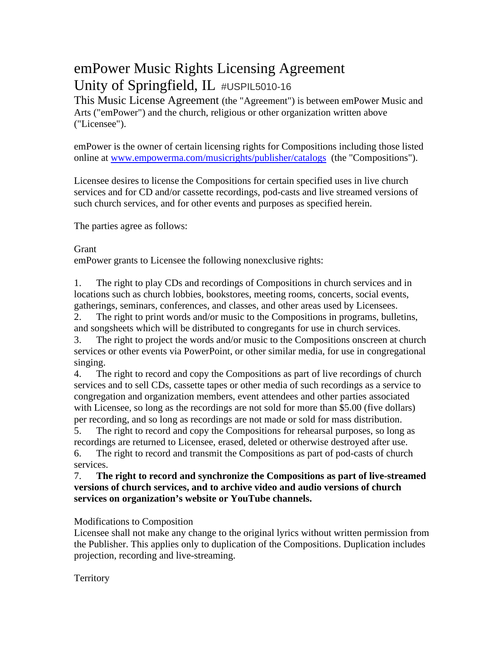# emPower Music Rights Licensing Agreement Unity of Springfield, IL #USPIL5010-16

This Music License Agreement (the "Agreement") is between emPower Music and Arts ("emPower") and the church, religious or other organization written above ("Licensee").

emPower is the owner of certain licensing rights for Compositions including those listed online at [www.empowerma.com/musicrights/publisher/catalogs](http://www.empowerma.com/musicrights/publisher/catalogs) (the "Compositions").

Licensee desires to license the Compositions for certain specified uses in live church services and for CD and/or cassette recordings, pod-casts and live streamed versions of such church services, and for other events and purposes as specified herein.

The parties agree as follows:

**Grant** 

emPower grants to Licensee the following nonexclusive rights:

1. The right to play CDs and recordings of Compositions in church services and in locations such as church lobbies, bookstores, meeting rooms, concerts, social events, gatherings, seminars, conferences, and classes, and other areas used by Licensees.

2. The right to print words and/or music to the Compositions in programs, bulletins, and songsheets which will be distributed to congregants for use in church services.

3. The right to project the words and/or music to the Compositions onscreen at church services or other events via PowerPoint, or other similar media, for use in congregational singing.

4. The right to record and copy the Compositions as part of live recordings of church services and to sell CDs, cassette tapes or other media of such recordings as a service to congregation and organization members, event attendees and other parties associated with Licensee, so long as the recordings are not sold for more than \$5.00 (five dollars) per recording, and so long as recordings are not made or sold for mass distribution.

5. The right to record and copy the Compositions for rehearsal purposes, so long as recordings are returned to Licensee, erased, deleted or otherwise destroyed after use.

6. The right to record and transmit the Compositions as part of pod-casts of church services.

# 7. **The right to record and synchronize the Compositions as part of live-streamed versions of church services, and to archive video and audio versions of church services on organization's website or YouTube channels.**

Modifications to Composition

Licensee shall not make any change to the original lyrics without written permission from the Publisher. This applies only to duplication of the Compositions. Duplication includes projection, recording and live-streaming.

# **Territory**